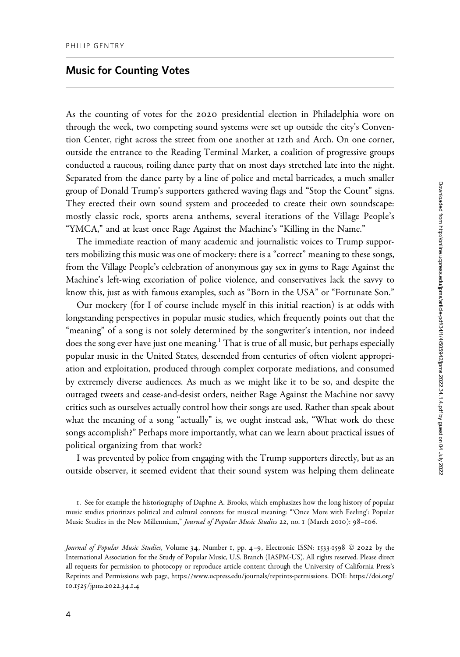## Music for Counting Votes

As the counting of votes for the 2020 presidential election in Philadelphia wore on through the week, two competing sound systems were set up outside the city's Convention Center, right across the street from one another at 12th and Arch. On one corner, outside the entrance to the Reading Terminal Market, a coalition of progressive groups conducted a raucous, roiling dance party that on most days stretched late into the night. Separated from the dance party by a line of police and metal barricades, a much smaller group of Donald Trump's supporters gathered waving flags and "Stop the Count" signs. They erected their own sound system and proceeded to create their own soundscape: mostly classic rock, sports arena anthems, several iterations of the Village People's "YMCA," and at least once Rage Against the Machine's "Killing in the Name."

The immediate reaction of many academic and journalistic voices to Trump supporters mobilizing this music was one of mockery: there is a "correct" meaning to these songs, from the Village People's celebration of anonymous gay sex in gyms to Rage Against the Machine's left-wing excoriation of police violence, and conservatives lack the savvy to know this, just as with famous examples, such as "Born in the USA" or "Fortunate Son."

Our mockery (for I of course include myself in this initial reaction) is at odds with longstanding perspectives in popular music studies, which frequently points out that the "meaning" of a song is not solely determined by the songwriter's intention, nor indeed does the song ever have just one meaning.<sup>1</sup> That is true of all music, but perhaps especially popular music in the United States, descended from centuries of often violent appropriation and exploitation, produced through complex corporate mediations, and consumed by extremely diverse audiences. As much as we might like it to be so, and despite the outraged tweets and cease-and-desist orders, neither Rage Against the Machine nor savvy critics such as ourselves actually control how their songs are used. Rather than speak about what the meaning of a song "actually" is, we ought instead ask, "What work do these songs accomplish?" Perhaps more importantly, what can we learn about practical issues of political organizing from that work?

I was prevented by police from engaging with the Trump supporters directly, but as an outside observer, it seemed evident that their sound system was helping them delineate

<sup>1</sup>. See for example the historiography of Daphne A. Brooks, which emphasizes how the long history of popular music studies prioritizes political and cultural contexts for musical meaning: "'Once More with Feeling': Popular Music Studies in the New Millennium," Journal of Popular Music Studies 22, no. 1 (March 2010): 98-106.

Journal of Popular Music Studies, Volume 34, Number 1, pp. 4-9, Electronic ISSN: 1533-1598 © 2022 by the International Association for the Study of Popular Music, U.S. Branch (IASPM-US). All rights reserved. Please direct all requests for permission to photocopy or reproduce article content through the University of California Press's Reprints and Permissions web page, [https://www.ucpress.edu/journals/reprints-permissions.](https://www.ucpress.edu/journals/reprints-permissions) [DOI: https://doi.org/](https://doi.org/10.1525/jpms.2022.34.1.4) 10.1525[/jpms.](https://doi.org/10.1525/jpms.2022.34.1.4)2022.34.1.4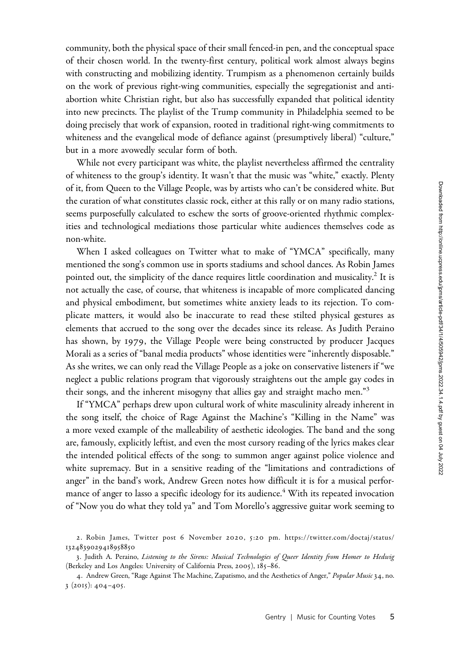community, both the physical space of their small fenced-in pen, and the conceptual space of their chosen world. In the twenty-first century, political work almost always begins with constructing and mobilizing identity. Trumpism as a phenomenon certainly builds on the work of previous right-wing communities, especially the segregationist and antiabortion white Christian right, but also has successfully expanded that political identity into new precincts. The playlist of the Trump community in Philadelphia seemed to be doing precisely that work of expansion, rooted in traditional right-wing commitments to whiteness and the evangelical mode of defiance against (presumptively liberal) "culture," but in a more avowedly secular form of both.

While not every participant was white, the playlist nevertheless affirmed the centrality of whiteness to the group's identity. It wasn't that the music was "white," exactly. Plenty of it, from Queen to the Village People, was by artists who can't be considered white. But the curation of what constitutes classic rock, either at this rally or on many radio stations, seems purposefully calculated to eschew the sorts of groove-oriented rhythmic complexities and technological mediations those particular white audiences themselves code as non-white.

When I asked colleagues on Twitter what to make of "YMCA" specifically, many mentioned the song's common use in sports stadiums and school dances. As Robin James pointed out, the simplicity of the dance requires little coordination and musicality.<sup>2</sup> It is not actually the case, of course, that whiteness is incapable of more complicated dancing and physical embodiment, but sometimes white anxiety leads to its rejection. To complicate matters, it would also be inaccurate to read these stilted physical gestures as elements that accrued to the song over the decades since its release. As Judith Peraino has shown, by 1979, the Village People were being constructed by producer Jacques Morali as a series of "banal media products" whose identities were "inherently disposable." As she writes, we can only read the Village People as a joke on conservative listeners if "we neglect a public relations program that vigorously straightens out the ample gay codes in their songs, and the inherent misogyny that allies gay and straight macho men."<sup>3</sup>

If "YMCA" perhaps drew upon cultural work of white masculinity already inherent in the song itself, the choice of Rage Against the Machine's "Killing in the Name" was a more vexed example of the malleability of aesthetic ideologies. The band and the song are, famously, explicitly leftist, and even the most cursory reading of the lyrics makes clear the intended political effects of the song: to summon anger against police violence and white supremacy. But in a sensitive reading of the "limitations and contradictions of anger" in the band's work, Andrew Green notes how difficult it is for a musical performance of anger to lasso a specific ideology for its audience.<sup>4</sup> With its repeated invocation of "Now you do what they told ya" and Tom Morello's aggressive guitar work seeming to

<sup>2.</sup> Robin James, Twitter post 6 November 2020, 5:20 pm. [https://twitter.com/doctaj/status/](https://twitter.com/doctaj/status/1324839029418958850) [1324839029418958850](https://twitter.com/doctaj/status/1324839029418958850)

<sup>3.</sup> Judith A. Peraino, Listening to the Sirens: Musical Technologies of Queer Identity from Homer to Hedwig (Berkeley and Los Angeles: University of California Press, 2005), 185–86.

<sup>4.</sup> Andrew Green, "Rage Against The Machine, Zapatismo, and the Aesthetics of Anger," Popular Music 34, no. 3 (2015): 404–405.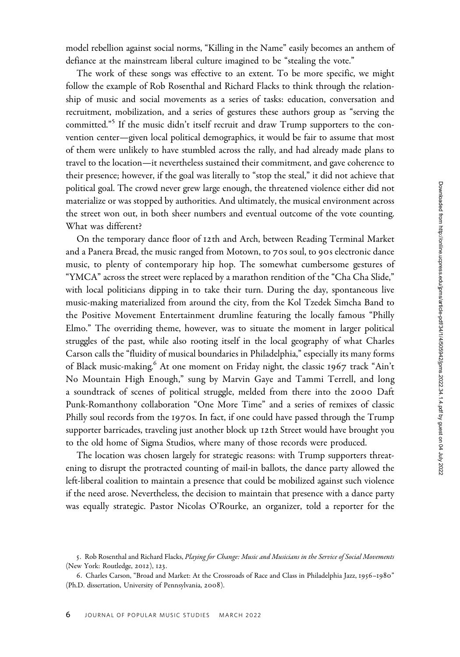model rebellion against social norms, "Killing in the Name" easily becomes an anthem of defiance at the mainstream liberal culture imagined to be "stealing the vote."

The work of these songs was effective to an extent. To be more specific, we might follow the example of Rob Rosenthal and Richard Flacks to think through the relationship of music and social movements as a series of tasks: education, conversation and recruitment, mobilization, and a series of gestures these authors group as "serving the committed."<sup>5</sup> If the music didn't itself recruit and draw Trump supporters to the convention center—given local political demographics, it would be fair to assume that most of them were unlikely to have stumbled across the rally, and had already made plans to travel to the location—it nevertheless sustained their commitment, and gave coherence to their presence; however, if the goal was literally to "stop the steal," it did not achieve that political goal. The crowd never grew large enough, the threatened violence either did not materialize or was stopped by authorities. And ultimately, the musical environment across the street won out, in both sheer numbers and eventual outcome of the vote counting. What was different?

On the temporary dance floor of 12th and Arch, between Reading Terminal Market and a Panera Bread, the music ranged from Motown, to 70s soul, to 90s electronic dance music, to plenty of contemporary hip hop. The somewhat cumbersome gestures of "YMCA" across the street were replaced by a marathon rendition of the "Cha Cha Slide," with local politicians dipping in to take their turn. During the day, spontaneous live music-making materialized from around the city, from the Kol Tzedek Simcha Band to the Positive Movement Entertainment drumline featuring the locally famous "Philly Elmo." The overriding theme, however, was to situate the moment in larger political struggles of the past, while also rooting itself in the local geography of what Charles Carson calls the "fluidity of musical boundaries in Philadelphia," especially its many forms of Black music-making.<sup>6</sup> At one moment on Friday night, the classic 1967 track "Ain't No Mountain High Enough," sung by Marvin Gaye and Tammi Terrell, and long a soundtrack of scenes of political struggle, melded from there into the 2000 Daft Punk-Romanthony collaboration "One More Time" and a series of remixes of classic Philly soul records from the 1970s. In fact, if one could have passed through the Trump supporter barricades, traveling just another block up 12th Street would have brought you to the old home of Sigma Studios, where many of those records were produced.

The location was chosen largely for strategic reasons: with Trump supporters threatening to disrupt the protracted counting of mail-in ballots, the dance party allowed the left-liberal coalition to maintain a presence that could be mobilized against such violence if the need arose. Nevertheless, the decision to maintain that presence with a dance party was equally strategic. Pastor Nicolas O'Rourke, an organizer, told a reporter for the

<sup>5.</sup> Rob Rosenthal and Richard Flacks, Playing for Change: Music and Musicians in the Service of Social Movements (New York: Routledge, 2012), 123.

<sup>6</sup>. Charles Carson, "Broad and Market: At the Crossroads of Race and Class in Philadelphia Jazz, 1956–1980" (Ph.D. dissertation, University of Pennsylvania, 2008).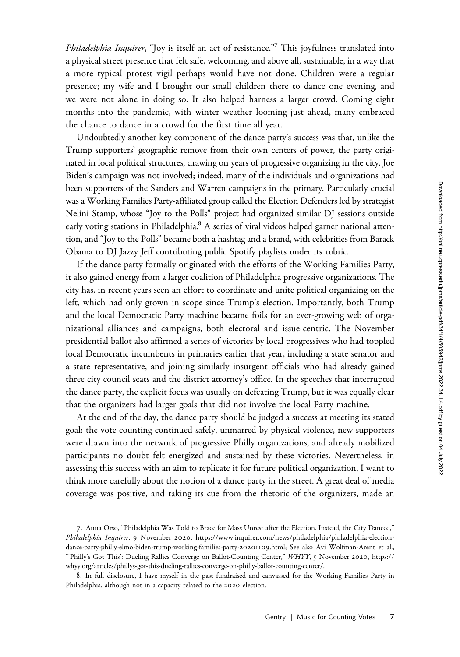*Philadelphia Inquirer*, "Joy is itself an act of resistance."<sup>7</sup> This joyfulness translated into a physical street presence that felt safe, welcoming, and above all, sustainable, in a way that a more typical protest vigil perhaps would have not done. Children were a regular presence; my wife and I brought our small children there to dance one evening, and we were not alone in doing so. It also helped harness a larger crowd. Coming eight months into the pandemic, with winter weather looming just ahead, many embraced the chance to dance in a crowd for the first time all year.

Undoubtedly another key component of the dance party's success was that, unlike the Trump supporters' geographic remove from their own centers of power, the party originated in local political structures, drawing on years of progressive organizing in the city. Joe Biden's campaign was not involved; indeed, many of the individuals and organizations had been supporters of the Sanders and Warren campaigns in the primary. Particularly crucial was a Working Families Party-affiliated group called the Election Defenders led by strategist Nelini Stamp, whose "Joy to the Polls" project had organized similar DJ sessions outside early voting stations in Philadelphia.<sup>8</sup> A series of viral videos helped garner national attention, and "Joy to the Polls" became both a hashtag and a brand, with celebrities from Barack Obama to DJ Jazzy Jeff contributing public Spotify playlists under its rubric.

If the dance party formally originated with the efforts of the Working Families Party, it also gained energy from a larger coalition of Philadelphia progressive organizations. The city has, in recent years seen an effort to coordinate and unite political organizing on the left, which had only grown in scope since Trump's election. Importantly, both Trump and the local Democratic Party machine became foils for an ever-growing web of organizational alliances and campaigns, both electoral and issue-centric. The November presidential ballot also affirmed a series of victories by local progressives who had toppled local Democratic incumbents in primaries earlier that year, including a state senator and a state representative, and joining similarly insurgent officials who had already gained three city council seats and the district attorney's office. In the speeches that interrupted the dance party, the explicit focus was usually on defeating Trump, but it was equally clear that the organizers had larger goals that did not involve the local Party machine.

At the end of the day, the dance party should be judged a success at meeting its stated goal: the vote counting continued safely, unmarred by physical violence, new supporters were drawn into the network of progressive Philly organizations, and already mobilized participants no doubt felt energized and sustained by these victories. Nevertheless, in assessing this success with an aim to replicate it for future political organization, I want to think more carefully about the notion of a dance party in the street. A great deal of media coverage was positive, and taking its cue from the rhetoric of the organizers, made an

<sup>7</sup>. Anna Orso, "Philadelphia Was Told to Brace for Mass Unrest after the Election. Instead, the City Danced," Philadelphia Inquirer, 9 November 2020, [https://www.inquirer.com/news/philadelphia/philadelphia-election](https://www.inquirer.com/news/philadelphia/philadelphia-election-dance-party-philly-elmo-biden-trump-working-families-party-20201109.html)[dance-party-philly-elmo-biden-trump-working-families-party-](https://www.inquirer.com/news/philadelphia/philadelphia-election-dance-party-philly-elmo-biden-trump-working-families-party-20201109.html)20201109.html; See also Avi Wolfman-Arent et al., "'Philly's Got This': Dueling Rallies Converge on Ballot-Counting Center," WHYY, 5 November 2020, [https://](https://whyy.org/articles/phillys-got-this-dueling-rallies-converge-on-philly-ballot-counting-center/) [whyy.org/articles/phillys-got-this-dueling-rallies-converge-on-philly-ballot-counting-center/](https://whyy.org/articles/phillys-got-this-dueling-rallies-converge-on-philly-ballot-counting-center/).

<sup>8</sup>. In full disclosure, I have myself in the past fundraised and canvassed for the Working Families Party in Philadelphia, although not in a capacity related to the 2020 election.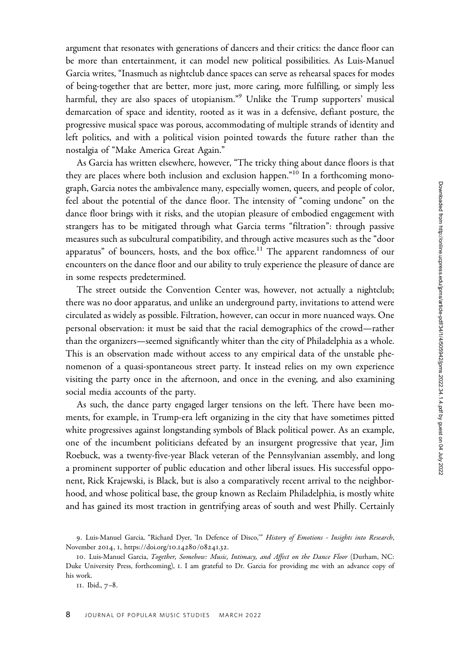argument that resonates with generations of dancers and their critics: the dance floor can be more than entertainment, it can model new political possibilities. As Luis-Manuel Garcia writes, "Inasmuch as nightclub dance spaces can serve as rehearsal spaces for modes of being-together that are better, more just, more caring, more fulfilling, or simply less harmful, they are also spaces of utopianism."<sup>9</sup> Unlike the Trump supporters' musical demarcation of space and identity, rooted as it was in a defensive, defiant posture, the progressive musical space was porous, accommodating of multiple strands of identity and left politics, and with a political vision pointed towards the future rather than the nostalgia of "Make America Great Again."

As Garcia has written elsewhere, however, "The tricky thing about dance floors is that they are places where both inclusion and exclusion happen."<sup>10</sup> In a forthcoming monograph, Garcia notes the ambivalence many, especially women, queers, and people of color, feel about the potential of the dance floor. The intensity of "coming undone" on the dance floor brings with it risks, and the utopian pleasure of embodied engagement with strangers has to be mitigated through what Garcia terms "filtration": through passive measures such as subcultural compatibility, and through active measures such as the "door apparatus" of bouncers, hosts, and the box office.<sup>11</sup> The apparent randomness of our encounters on the dance floor and our ability to truly experience the pleasure of dance are in some respects predetermined.

The street outside the Convention Center was, however, not actually a nightclub; there was no door apparatus, and unlike an underground party, invitations to attend were circulated as widely as possible. Filtration, however, can occur in more nuanced ways. One personal observation: it must be said that the racial demographics of the crowd—rather than the organizers—seemed significantly whiter than the city of Philadelphia as a whole. This is an observation made without access to any empirical data of the unstable phenomenon of a quasi-spontaneous street party. It instead relies on my own experience visiting the party once in the afternoon, and once in the evening, and also examining social media accounts of the party.

As such, the dance party engaged larger tensions on the left. There have been moments, for example, in Trump-era left organizing in the city that have sometimes pitted white progressives against longstanding symbols of Black political power. As an example, one of the incumbent politicians defeated by an insurgent progressive that year, Jim Roebuck, was a twenty-five-year Black veteran of the Pennsylvanian assembly, and long a prominent supporter of public education and other liberal issues. His successful opponent, Rick Krajewski, is Black, but is also a comparatively recent arrival to the neighborhood, and whose political base, the group known as Reclaim Philadelphia, is mostly white and has gained its most traction in gentrifying areas of south and west Philly. Certainly

<sup>9.</sup> Luis-Manuel Garcia, "Richard Dyer, 'In Defence of Disco," History of Emotions - Insights into Research, November 2014, 1, [https://doi.org/](https://doi.org/10.14280/08241.32)10.14280/08241.32.

<sup>10.</sup> Luis-Manuel Garcia, Together, Somehow: Music, Intimacy, and Affect on the Dance Floor (Durham, NC: Duke University Press, forthcoming), 1. I am grateful to Dr. Garcia for providing me with an advance copy of his work.

<sup>11</sup>. Ibid., 7–8.